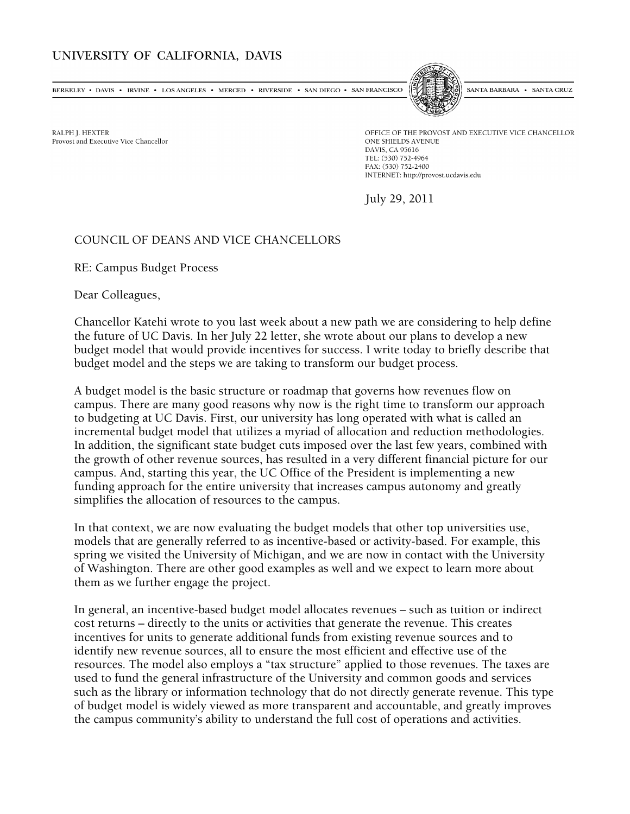## UNIVERSITY OF CALIFORNIA, DAVIS

BERKELEY • DAVIS • IRVINE • LOS ANGELES • MERCED • RIVERSIDE • SAN DIEGO • SAN FRANCISCO

SANTA BARBARA . SANTA CRUZ

RALPH J. HEXTER Provost and Executive Vice Chancellor OFFICE OF THE PROVOST AND EXECUTIVE VICE CHANCELLOR ONE SHIELDS AVENUE DAVIS, CA 95616 TEL: (530) 752-4964 FAX: (530) 752-2400 INTERNET: http://provost.ucdavis.edu

July 29, 2011

## COUNCIL OF DEANS AND VICE CHANCELLORS

RE: Campus Budget Process

Dear Colleagues,

Chancellor Katehi wrote to you last week about a new path we are considering to help define the future of UC Davis. In her July 22 letter, she wrote about our plans to develop a new budget model that would provide incentives for success. I write today to briefly describe that budget model and the steps we are taking to transform our budget process.

A budget model is the basic structure or roadmap that governs how revenues flow on campus. There are many good reasons why now is the right time to transform our approach to budgeting at UC Davis. First, our university has long operated with what is called an incremental budget model that utilizes a myriad of allocation and reduction methodologies. In addition, the significant state budget cuts imposed over the last few years, combined with the growth of other revenue sources, has resulted in a very different financial picture for our campus. And, starting this year, the UC Office of the President is implementing a new funding approach for the entire university that increases campus autonomy and greatly simplifies the allocation of resources to the campus.

In that context, we are now evaluating the budget models that other top universities use, models that are generally referred to as incentive-based or activity-based. For example, this spring we visited the University of Michigan, and we are now in contact with the University of Washington. There are other good examples as well and we expect to learn more about them as we further engage the project.

In general, an incentive-based budget model allocates revenues – such as tuition or indirect cost returns – directly to the units or activities that generate the revenue. This creates incentives for units to generate additional funds from existing revenue sources and to identify new revenue sources, all to ensure the most efficient and effective use of the resources. The model also employs a "tax structure" applied to those revenues. The taxes are used to fund the general infrastructure of the University and common goods and services such as the library or information technology that do not directly generate revenue. This type of budget model is widely viewed as more transparent and accountable, and greatly improves the campus community's ability to understand the full cost of operations and activities.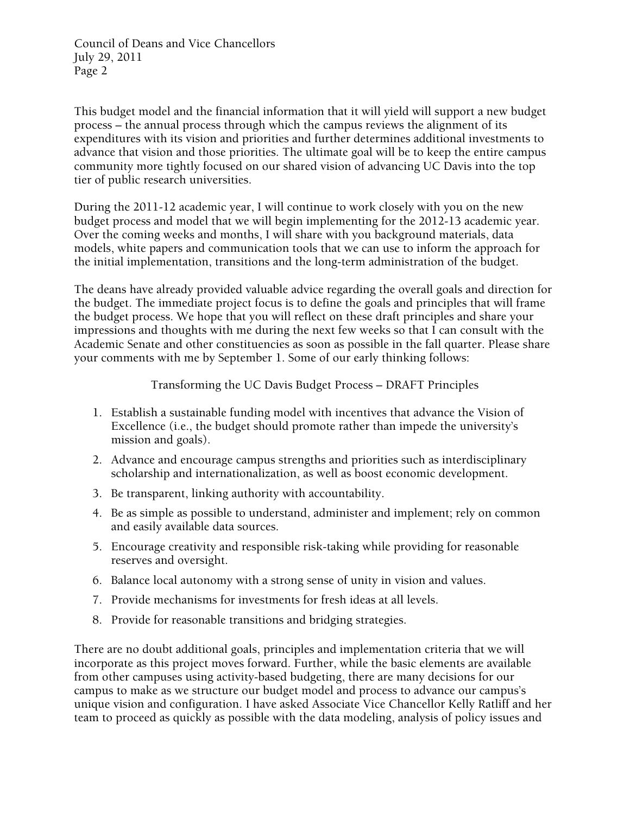Council of Deans and Vice Chancellors July 29, 2011 Page 2

This budget model and the financial information that it will yield will support a new budget process – the annual process through which the campus reviews the alignment of its expenditures with its vision and priorities and further determines additional investments to advance that vision and those priorities. The ultimate goal will be to keep the entire campus community more tightly focused on our shared vision of advancing UC Davis into the top tier of public research universities.

During the 2011-12 academic year, I will continue to work closely with you on the new budget process and model that we will begin implementing for the 2012-13 academic year. Over the coming weeks and months, I will share with you background materials, data models, white papers and communication tools that we can use to inform the approach for the initial implementation, transitions and the long-term administration of the budget.

The deans have already provided valuable advice regarding the overall goals and direction for the budget. The immediate project focus is to define the goals and principles that will frame the budget process. We hope that you will reflect on these draft principles and share your impressions and thoughts with me during the next few weeks so that I can consult with the Academic Senate and other constituencies as soon as possible in the fall quarter. Please share your comments with me by September 1. Some of our early thinking follows:

Transforming the UC Davis Budget Process – DRAFT Principles

- 1. Establish a sustainable funding model with incentives that advance the Vision of Excellence (i.e., the budget should promote rather than impede the university's mission and goals).
- 2. Advance and encourage campus strengths and priorities such as interdisciplinary scholarship and internationalization, as well as boost economic development.
- 3. Be transparent, linking authority with accountability.
- 4. Be as simple as possible to understand, administer and implement; rely on common and easily available data sources.
- 5. Encourage creativity and responsible risk-taking while providing for reasonable reserves and oversight.
- 6. Balance local autonomy with a strong sense of unity in vision and values.
- 7. Provide mechanisms for investments for fresh ideas at all levels.
- 8. Provide for reasonable transitions and bridging strategies.

There are no doubt additional goals, principles and implementation criteria that we will incorporate as this project moves forward. Further, while the basic elements are available from other campuses using activity-based budgeting, there are many decisions for our campus to make as we structure our budget model and process to advance our campus's unique vision and configuration. I have asked Associate Vice Chancellor Kelly Ratliff and her team to proceed as quickly as possible with the data modeling, analysis of policy issues and